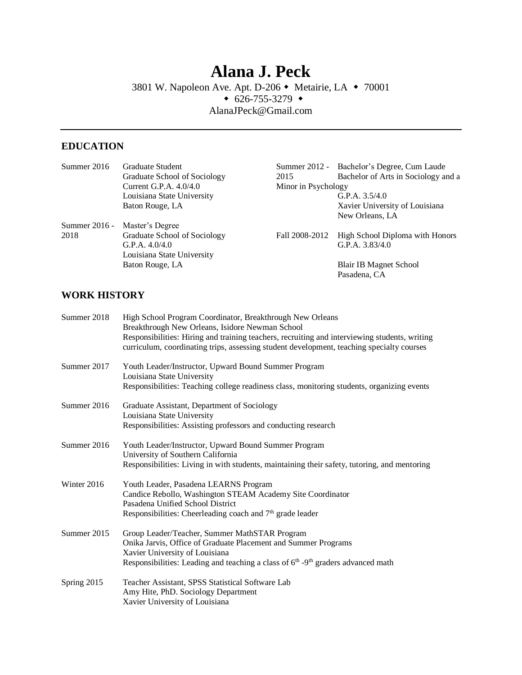# **Alana J. Peck** 3801 W. Napoleon Ave. Apt. D-206 • Metairie, LA • 70001  $\bullet$  626-755-3279  $\bullet$ AlanaJPeck@Gmail.com

## **EDUCATION**

| Summer 2016     | Graduate Student             |                     | Summer 2012 - Bachelor's Degree, Cum Laude |
|-----------------|------------------------------|---------------------|--------------------------------------------|
|                 | Graduate School of Sociology | 2015                | Bachelor of Arts in Sociology and a        |
|                 | Current G.P.A. $4.0/4.0$     | Minor in Psychology |                                            |
|                 | Louisiana State University   |                     | G.P.A. $3.5/4.0$                           |
|                 | Baton Rouge, LA              |                     | Xavier University of Louisiana             |
|                 |                              |                     | New Orleans, LA                            |
| Summer $2016 -$ | Master's Degree              |                     |                                            |
| 2018            | Graduate School of Sociology | Fall 2008-2012      | High School Diploma with Honors            |
|                 | G.P.A. $4.0/4.0$             |                     | G.P.A. $3.83/4.0$                          |
|                 | Louisiana State University   |                     |                                            |
|                 | Baton Rouge, LA              |                     | Blair IB Magnet School                     |
|                 |                              |                     | Pasadena, CA                               |

## **WORK HISTORY**

| Summer 2018 | High School Program Coordinator, Breakthrough New Orleans<br>Breakthrough New Orleans, Isidore Newman School                                                                               |  |  |
|-------------|--------------------------------------------------------------------------------------------------------------------------------------------------------------------------------------------|--|--|
|             | Responsibilities: Hiring and training teachers, recruiting and interviewing students, writing<br>curriculum, coordinating trips, assessing student development, teaching specialty courses |  |  |
| Summer 2017 | Youth Leader/Instructor, Upward Bound Summer Program<br>Louisiana State University<br>Responsibilities: Teaching college readiness class, monitoring students, organizing events           |  |  |
|             |                                                                                                                                                                                            |  |  |
| Summer 2016 | Graduate Assistant, Department of Sociology<br>Louisiana State University                                                                                                                  |  |  |
|             | Responsibilities: Assisting professors and conducting research                                                                                                                             |  |  |
| Summer 2016 | Youth Leader/Instructor, Upward Bound Summer Program<br>University of Southern California                                                                                                  |  |  |
|             | Responsibilities: Living in with students, maintaining their safety, tutoring, and mentoring                                                                                               |  |  |
| Winter 2016 | Youth Leader, Pasadena LEARNS Program                                                                                                                                                      |  |  |
|             | Candice Rebollo, Washington STEAM Academy Site Coordinator                                                                                                                                 |  |  |
|             | Pasadena Unified School District<br>Responsibilities: Cheerleading coach and 7 <sup>th</sup> grade leader                                                                                  |  |  |
|             |                                                                                                                                                                                            |  |  |
| Summer 2015 | Group Leader/Teacher, Summer MathSTAR Program                                                                                                                                              |  |  |
|             | Onika Jarvis, Office of Graduate Placement and Summer Programs<br>Xavier University of Louisiana                                                                                           |  |  |
|             | Responsibilities: Leading and teaching a class of $6th$ -9 <sup>th</sup> graders advanced math                                                                                             |  |  |
| Spring 2015 | Teacher Assistant, SPSS Statistical Software Lab                                                                                                                                           |  |  |
|             | Amy Hite, PhD. Sociology Department                                                                                                                                                        |  |  |
|             | Xavier University of Louisiana                                                                                                                                                             |  |  |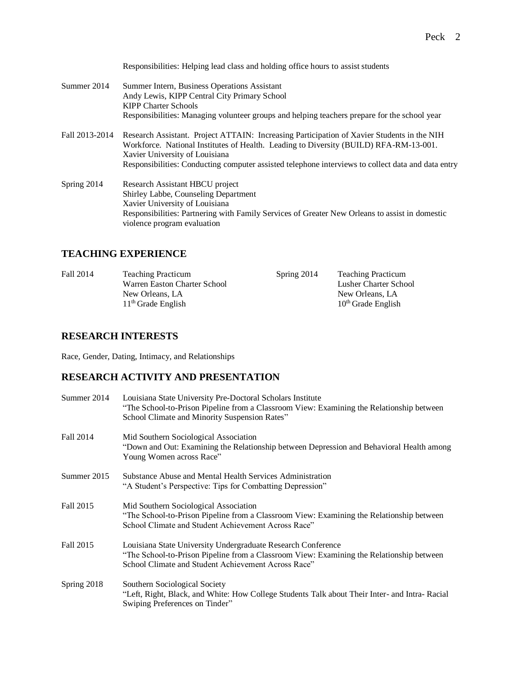Responsibilities: Helping lead class and holding office hours to assist students

- Summer 2014 Summer Intern, Business Operations Assistant Andy Lewis, KIPP Central City Primary School KIPP Charter Schools Responsibilities: Managing volunteer groups and helping teachers prepare for the school year
- Fall 2013-2014 Research Assistant. Project ATTAIN: Increasing Participation of Xavier Students in the NIH Workforce. National Institutes of Health. Leading to Diversity (BUILD) RFA-RM-13-001. Xavier University of Louisiana Responsibilities: Conducting computer assisted telephone interviews to collect data and data entry
- Spring 2014 Research Assistant HBCU project Shirley Labbe, Counseling Department Xavier University of Louisiana Responsibilities: Partnering with Family Services of Greater New Orleans to assist in domestic violence program evaluation

### **TEACHING EXPERIENCE**

Fall 2014 Teaching Practicum Warren Easton Charter School New Orleans, LA 11th Grade English Spring 2014 Teaching Practicum Lusher Charter School New Orleans, LA 10<sup>th</sup> Grade English

#### **RESEARCH INTERESTS**

Race, Gender, Dating, Intimacy, and Relationships

## **RESEARCH ACTIVITY AND PRESENTATION**

| Summer 2014 | Louisiana State University Pre-Doctoral Scholars Institute<br>"The School-to-Prison Pipeline from a Classroom View: Examining the Relationship between<br>School Climate and Minority Suspension Rates"         |  |
|-------------|-----------------------------------------------------------------------------------------------------------------------------------------------------------------------------------------------------------------|--|
| Fall 2014   | Mid Southern Sociological Association<br>"Down and Out: Examining the Relationship between Depression and Behavioral Health among<br>Young Women across Race"                                                   |  |
| Summer 2015 | Substance Abuse and Mental Health Services Administration<br>"A Student's Perspective: Tips for Combatting Depression"                                                                                          |  |
| Fall 2015   | Mid Southern Sociological Association<br>"The School-to-Prison Pipeline from a Classroom View: Examining the Relationship between<br>School Climate and Student Achievement Across Race"                        |  |
| Fall 2015   | Louisiana State University Undergraduate Research Conference<br>"The School-to-Prison Pipeline from a Classroom View: Examining the Relationship between<br>School Climate and Student Achievement Across Race" |  |
| Spring 2018 | Southern Sociological Society<br>"Left, Right, Black, and White: How College Students Talk about Their Inter- and Intra- Racial<br>Swiping Preferences on Tinder"                                               |  |